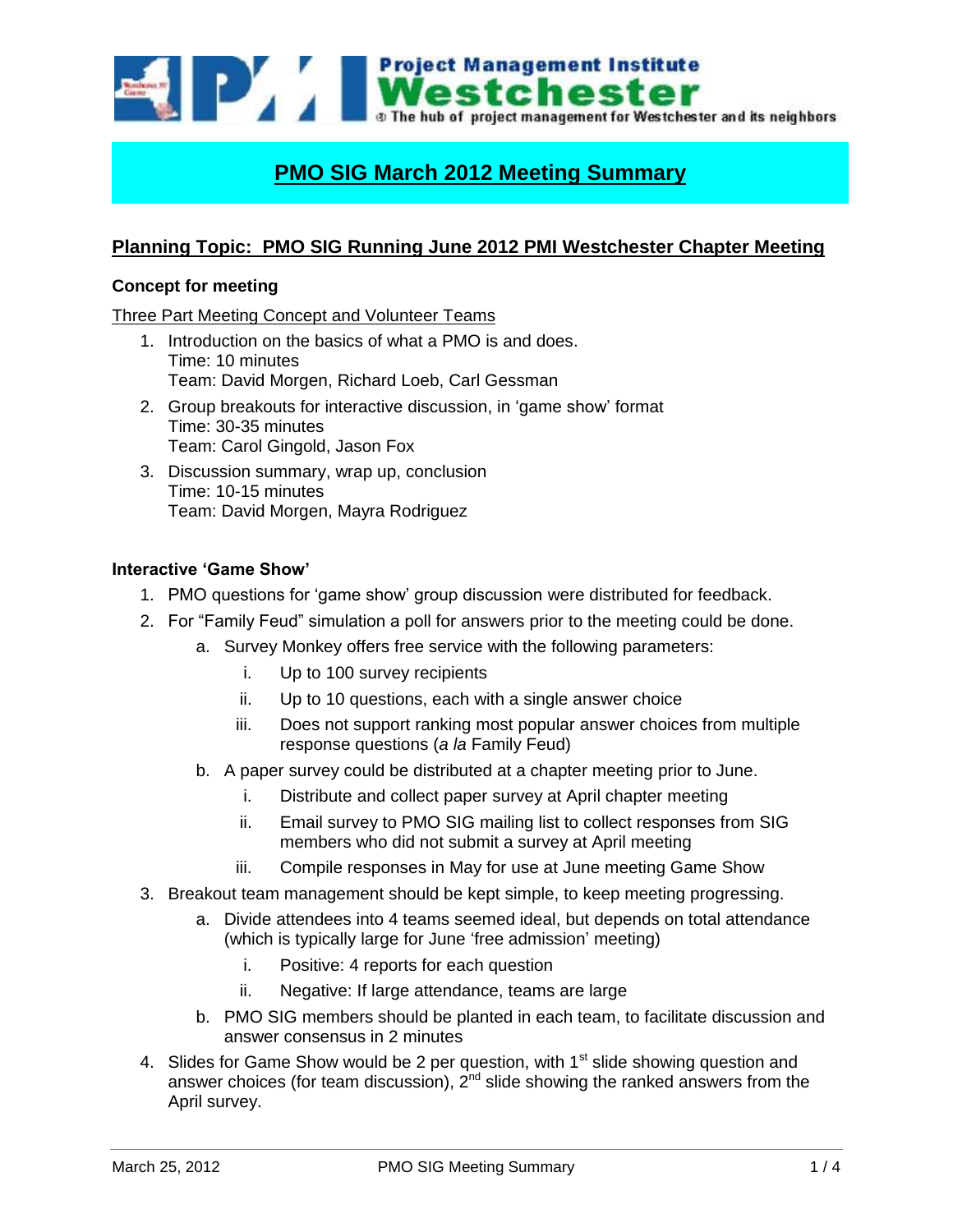

# **PMO SIG March 2012 Meeting Summary**

# **Planning Topic: PMO SIG Running June 2012 PMI Westchester Chapter Meeting**

## **Concept for meeting**

Three Part Meeting Concept and Volunteer Teams

- 1. Introduction on the basics of what a PMO is and does. Time: 10 minutes Team: David Morgen, Richard Loeb, Carl Gessman
- 2. Group breakouts for interactive discussion, in 'game show' format Time: 30-35 minutes Team: Carol Gingold, Jason Fox
- 3. Discussion summary, wrap up, conclusion Time: 10-15 minutes Team: David Morgen, Mayra Rodriguez

#### **Interactive 'Game Show'**

- 1. PMO questions for 'game show' group discussion were distributed for feedback.
- 2. For "Family Feud" simulation a poll for answers prior to the meeting could be done.
	- a. Survey Monkey offers free service with the following parameters:
		- i. Up to 100 survey recipients
		- ii. Up to 10 questions, each with a single answer choice
		- iii. Does not support ranking most popular answer choices from multiple response questions (*a la* Family Feud)
	- b. A paper survey could be distributed at a chapter meeting prior to June.
		- i. Distribute and collect paper survey at April chapter meeting
		- ii. Email survey to PMO SIG mailing list to collect responses from SIG members who did not submit a survey at April meeting
		- iii. Compile responses in May for use at June meeting Game Show
- 3. Breakout team management should be kept simple, to keep meeting progressing.
	- a. Divide attendees into 4 teams seemed ideal, but depends on total attendance (which is typically large for June 'free admission' meeting)
		- i. Positive: 4 reports for each question
		- ii. Negative: If large attendance, teams are large
	- b. PMO SIG members should be planted in each team, to facilitate discussion and answer consensus in 2 minutes
- 4. Slides for Game Show would be 2 per question, with 1<sup>st</sup> slide showing question and answer choices (for team discussion),  $2^{nd}$  slide showing the ranked answers from the April survey.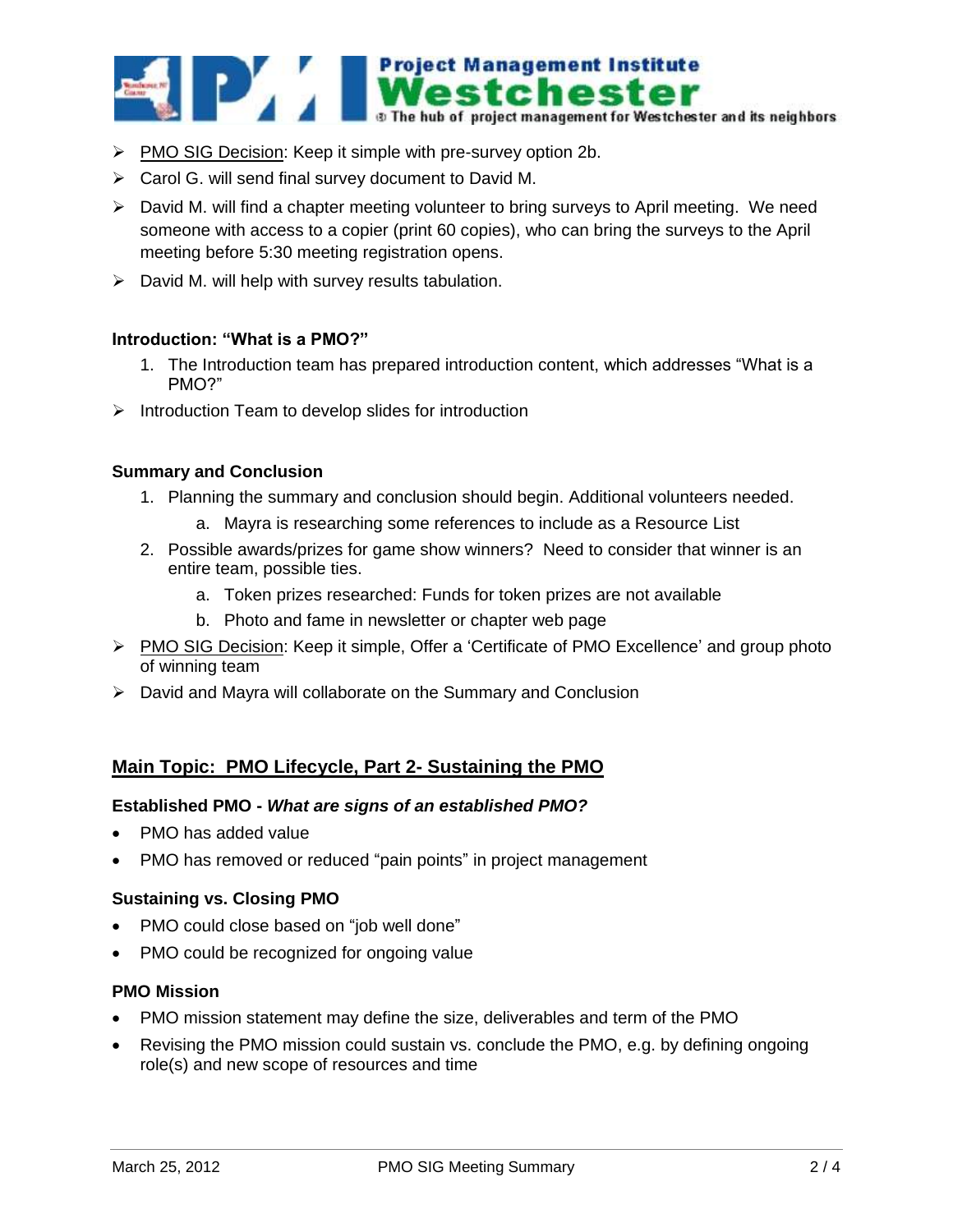

- PMO SIG Decision: Keep it simple with pre-survey option 2b.
- Carol G. will send final survey document to David M.
- $\triangleright$  David M. will find a chapter meeting volunteer to bring surveys to April meeting. We need someone with access to a copier (print 60 copies), who can bring the surveys to the April meeting before 5:30 meeting registration opens.
- $\triangleright$  David M. will help with survey results tabulation.

#### **Introduction: "What is a PMO?"**

- 1. The Introduction team has prepared introduction content, which addresses "What is a PMO?"
- $\triangleright$  Introduction Team to develop slides for introduction

#### **Summary and Conclusion**

- 1. Planning the summary and conclusion should begin. Additional volunteers needed.
	- a. Mayra is researching some references to include as a Resource List
- 2. Possible awards/prizes for game show winners? Need to consider that winner is an entire team, possible ties.
	- a. Token prizes researched: Funds for token prizes are not available
	- b. Photo and fame in newsletter or chapter web page
- PMO SIG Decision: Keep it simple, Offer a 'Certificate of PMO Excellence' and group photo of winning team
- $\triangleright$  David and Mayra will collaborate on the Summary and Conclusion

# **Main Topic: PMO Lifecycle, Part 2- Sustaining the PMO**

#### **Established PMO -** *What are signs of an established PMO?*

- PMO has added value
- PMO has removed or reduced "pain points" in project management

#### **Sustaining vs. Closing PMO**

- PMO could close based on "job well done"
- PMO could be recognized for ongoing value

#### **PMO Mission**

- PMO mission statement may define the size, deliverables and term of the PMO
- Revising the PMO mission could sustain vs. conclude the PMO, e.g. by defining ongoing role(s) and new scope of resources and time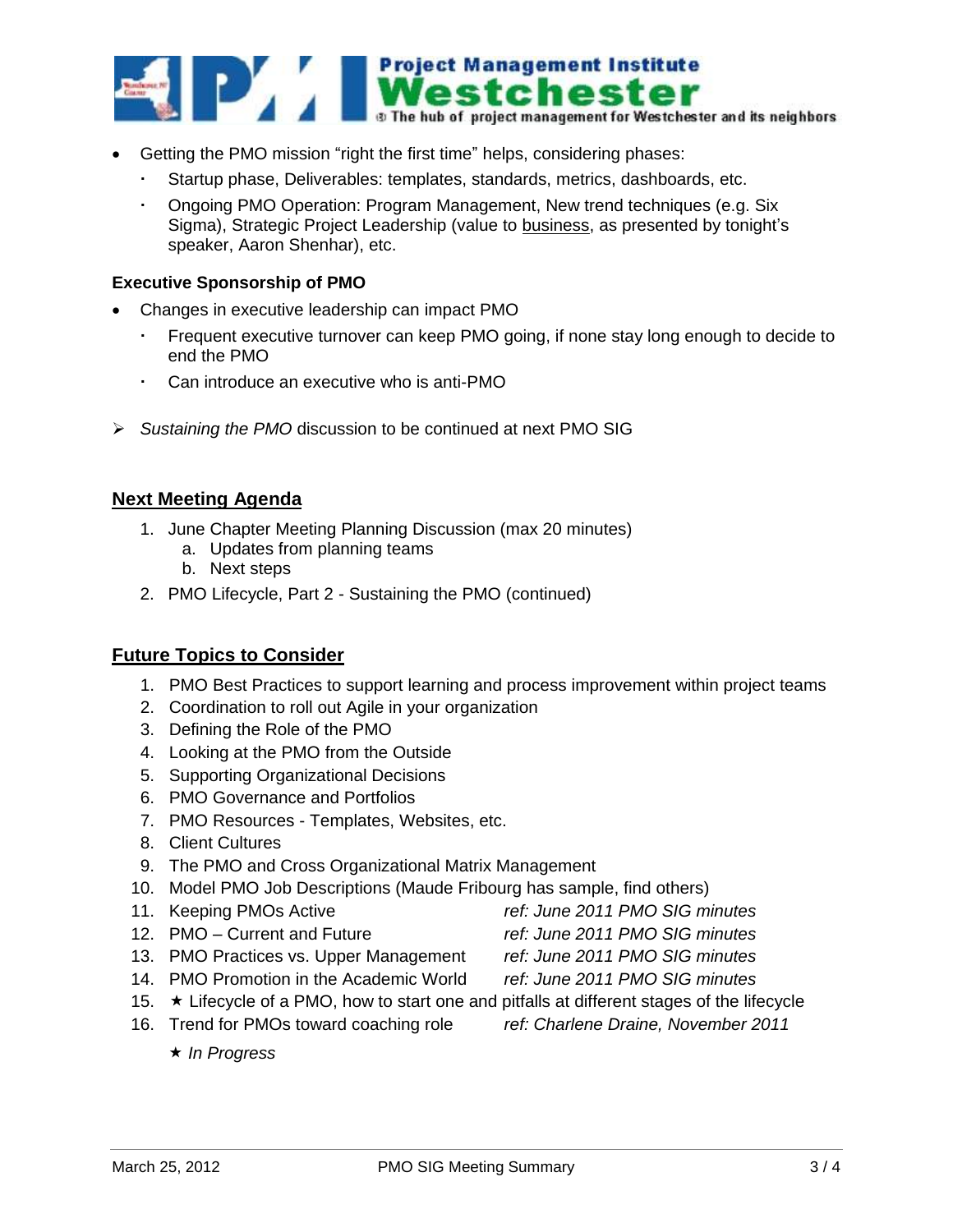

- Getting the PMO mission "right the first time" helps, considering phases:
	- Startup phase, Deliverables: templates, standards, metrics, dashboards, etc.
	- Ongoing PMO Operation: Program Management, New trend techniques (e.g. Six Sigma), Strategic Project Leadership (value to business, as presented by tonight's speaker, Aaron Shenhar), etc.

### **Executive Sponsorship of PMO**

- Changes in executive leadership can impact PMO
	- Frequent executive turnover can keep PMO going, if none stay long enough to decide to end the PMO
	- Can introduce an executive who is anti-PMO
- *Sustaining the PMO* discussion to be continued at next PMO SIG

# **Next Meeting Agenda**

- 1. June Chapter Meeting Planning Discussion (max 20 minutes)
	- a. Updates from planning teams
	- b. Next steps
- 2. PMO Lifecycle, Part 2 Sustaining the PMO (continued)

## **Future Topics to Consider**

- 1. PMO Best Practices to support learning and process improvement within project teams
- 2. Coordination to roll out Agile in your organization
- 3. Defining the Role of the PMO
- 4. Looking at the PMO from the Outside
- 5. Supporting Organizational Decisions
- 6. PMO Governance and Portfolios
- 7. PMO Resources Templates, Websites, etc.
- 8. Client Cultures
- 9. The PMO and Cross Organizational Matrix Management
- 10. Model PMO Job Descriptions (Maude Fribourg has sample, find others)
- 11. Keeping PMOs Active *ref: June 2011 PMO SIG minutes*
- 12. PMO Current and Future *ref: June 2011 PMO SIG minutes*
- 13. PMO Practices vs. Upper Management *ref: June 2011 PMO SIG minutes*
- 14. PMO Promotion in the Academic World *ref: June 2011 PMO SIG minutes*
- 
- 15.  $\star$  Lifecycle of a PMO, how to start one and pitfalls at different stages of the lifecycle
- 16. Trend for PMOs toward coaching role *ref: Charlene Draine, November 2011*
- 

*In Progress*